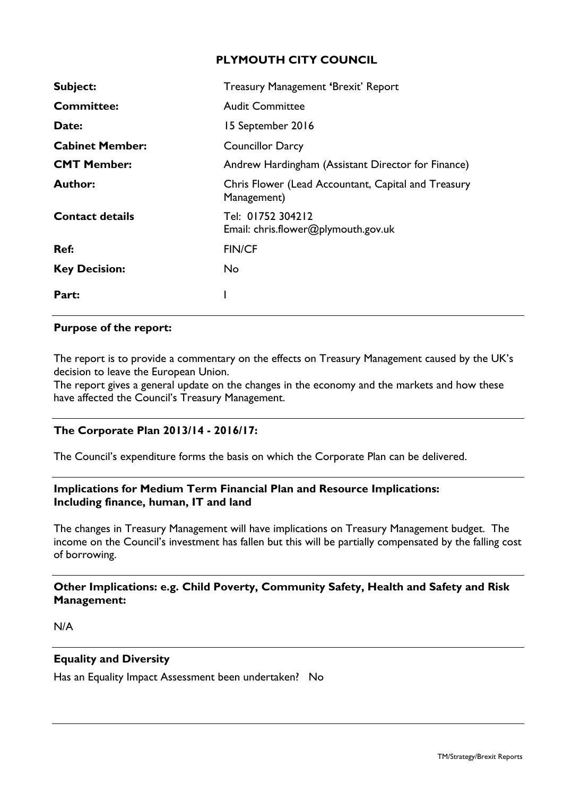## **PLYMOUTH CITY COUNCIL**

| Subject:               | <b>Treasury Management 'Brexit' Report</b>                         |
|------------------------|--------------------------------------------------------------------|
| <b>Committee:</b>      | <b>Audit Committee</b>                                             |
| Date:                  | 15 September 2016                                                  |
| <b>Cabinet Member:</b> | <b>Councillor Darcy</b>                                            |
| <b>CMT Member:</b>     | Andrew Hardingham (Assistant Director for Finance)                 |
| Author:                | Chris Flower (Lead Accountant, Capital and Treasury<br>Management) |
| <b>Contact details</b> | Tel: 01752 304212<br>Email: chris.flower@plymouth.gov.uk           |
| Ref:                   | <b>FIN/CF</b>                                                      |
| <b>Key Decision:</b>   | No                                                                 |
| Part:                  |                                                                    |

### **Purpose of the report:**

The report is to provide a commentary on the effects on Treasury Management caused by the UK's decision to leave the European Union.

The report gives a general update on the changes in the economy and the markets and how these have affected the Council's Treasury Management.

### **The Corporate Plan 2013/14 - 2016/17:**

The Council's expenditure forms the basis on which the Corporate Plan can be delivered.

## **Implications for Medium Term Financial Plan and Resource Implications: Including finance, human, IT and land**

The changes in Treasury Management will have implications on Treasury Management budget. The income on the Council's investment has fallen but this will be partially compensated by the falling cost of borrowing.

## **Other Implications: e.g. Child Poverty, Community Safety, Health and Safety and Risk Management:**

N/A

## **Equality and Diversity**

Has an Equality Impact Assessment been undertaken? No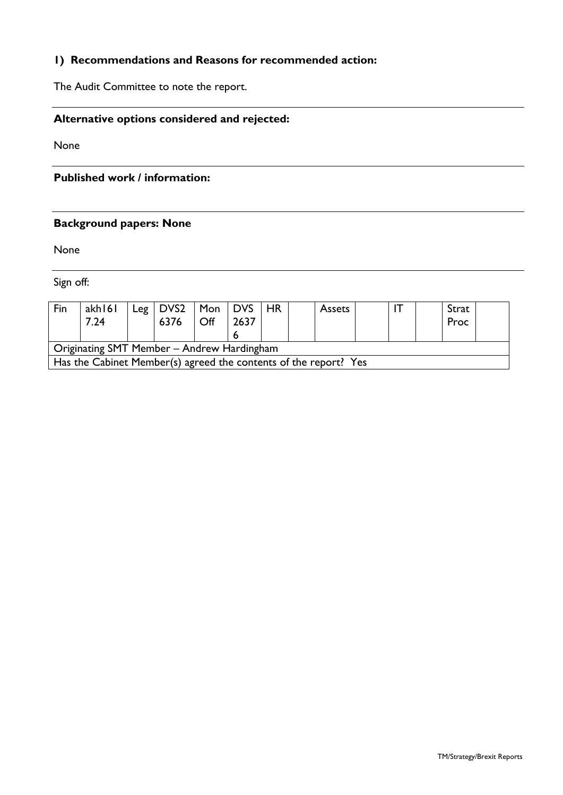# **1) Recommendations and Reasons for recommended action:**

The Audit Committee to note the report.

## **Alternative options considered and rejected:**

None

## **Published work / information:**

## **Background papers: None**

None

Sign off:

| Fin                                                              | akh 161<br>7.24 |  | Leg   DVS2   Mon   DVS  <br>6376 | $\mathsf{Off}$ | 2637 | <b>HR</b> |  | <b>Assets</b> |  |  |  | Strat<br>Proc |  |
|------------------------------------------------------------------|-----------------|--|----------------------------------|----------------|------|-----------|--|---------------|--|--|--|---------------|--|
| Originating SMT Member - Andrew Hardingham                       |                 |  |                                  |                |      |           |  |               |  |  |  |               |  |
| Has the Cabinet Member(s) agreed the contents of the report? Yes |                 |  |                                  |                |      |           |  |               |  |  |  |               |  |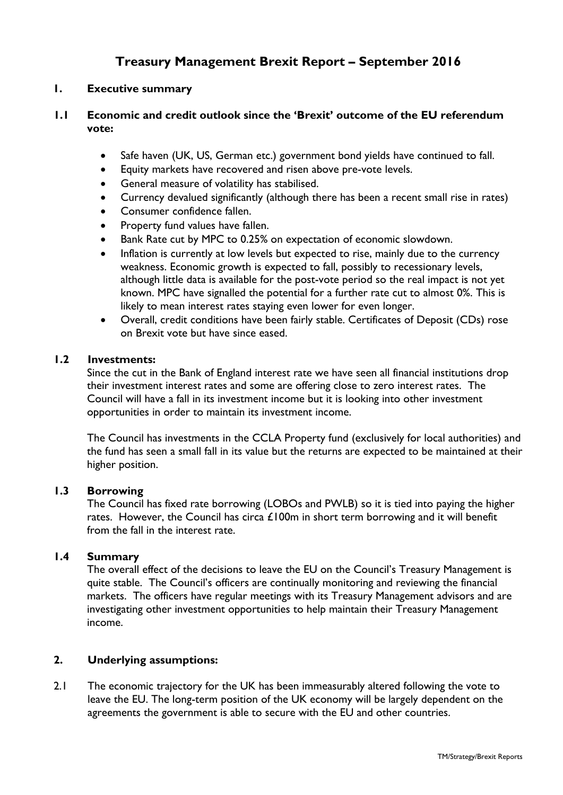## **Treasury Management Brexit Report – September 2016**

## **1. Executive summary**

## **1.1 Economic and credit outlook since the 'Brexit' outcome of the EU referendum vote:**

- Safe haven (UK, US, German etc.) government bond yields have continued to fall.
- Equity markets have recovered and risen above pre-vote levels.
- General measure of volatility has stabilised.
- Currency devalued significantly (although there has been a recent small rise in rates)
- Consumer confidence fallen.
- Property fund values have fallen.
- Bank Rate cut by MPC to 0.25% on expectation of economic slowdown.
- Inflation is currently at low levels but expected to rise, mainly due to the currency weakness. Economic growth is expected to fall, possibly to recessionary levels, although little data is available for the post-vote period so the real impact is not yet known. MPC have signalled the potential for a further rate cut to almost 0%. This is likely to mean interest rates staying even lower for even longer.
- Overall, credit conditions have been fairly stable. Certificates of Deposit (CDs) rose on Brexit vote but have since eased.

### **1.2 Investments:**

Since the cut in the Bank of England interest rate we have seen all financial institutions drop their investment interest rates and some are offering close to zero interest rates. The Council will have a fall in its investment income but it is looking into other investment opportunities in order to maintain its investment income.

The Council has investments in the CCLA Property fund (exclusively for local authorities) and the fund has seen a small fall in its value but the returns are expected to be maintained at their higher position.

### **1.3 Borrowing**

The Council has fixed rate borrowing (LOBOs and PWLB) so it is tied into paying the higher rates. However, the Council has circa  $£100m$  in short term borrowing and it will benefit from the fall in the interest rate.

## **1.4 Summary**

The overall effect of the decisions to leave the EU on the Council's Treasury Management is quite stable. The Council's officers are continually monitoring and reviewing the financial markets. The officers have regular meetings with its Treasury Management advisors and are investigating other investment opportunities to help maintain their Treasury Management income.

### **2. Underlying assumptions:**

2.1 The economic trajectory for the UK has been immeasurably altered following the vote to leave the EU. The long-term position of the UK economy will be largely dependent on the agreements the government is able to secure with the EU and other countries.